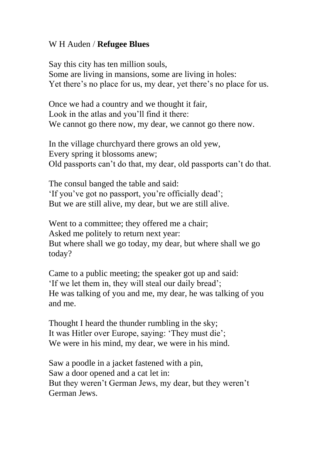## W H Auden / **Refugee Blues**

Say this city has ten million souls, Some are living in mansions, some are living in holes: Yet there's no place for us, my dear, yet there's no place for us.

Once we had a country and we thought it fair, Look in the atlas and you'll find it there: We cannot go there now, my dear, we cannot go there now.

In the village churchyard there grows an old yew, Every spring it blossoms anew; Old passports can't do that, my dear, old passports can't do that.

The consul banged the table and said: 'If you've got no passport, you're officially dead'; But we are still alive, my dear, but we are still alive.

Went to a committee; they offered me a chair; Asked me politely to return next year: But where shall we go today, my dear, but where shall we go today?

Came to a public meeting; the speaker got up and said: 'If we let them in, they will steal our daily bread'; He was talking of you and me, my dear, he was talking of you and me.

Thought I heard the thunder rumbling in the sky; It was Hitler over Europe, saying: 'They must die'; We were in his mind, my dear, we were in his mind.

Saw a poodle in a jacket fastened with a pin, Saw a door opened and a cat let in: But they weren't German Jews, my dear, but they weren't German Jews.